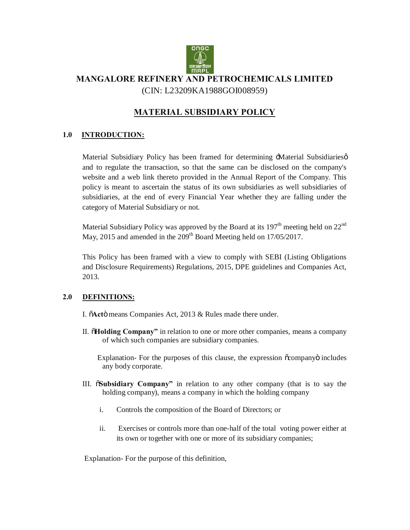

# **MANGALORE REFINERY AND PETROCHEMICALS LIMITED** (CIN: L23209KA1988GOI008959)

# **MATERIAL SUBSIDIARY POLICY**

### **1.0 INTRODUCTION:**

Material Subsidiary Policy has been framed for determining -Material Subsidiaries  $\phi$ and to regulate the transaction, so that the same can be disclosed on the company's website and a web link thereto provided in the Annual Report of the Company. This policy is meant to ascertain the status of its own subsidiaries as well subsidiaries of subsidiaries, at the end of every Financial Year whether they are falling under the category of Material Subsidiary or not.

Material Subsidiary Policy was approved by the Board at its  $197<sup>th</sup>$  meeting held on  $22<sup>nd</sup>$ May, 2015 and amended in the 209<sup>th</sup> Board Meeting held on 17/05/2017.

This Policy has been framed with a view to comply with SEBI (Listing Obligations and Disclosure Requirements) Regulations, 2015, DPE guidelines and Companies Act, 2013.

#### **2.0 DEFINITIONS:**

I.  $\delta$ **Act** $\ddot{\text{o}}$  means Companies Act, 2013 & Rules made there under.

II. **Tholding Company**<sup>"</sup> in relation to one or more other companies, means a company of which such companies are subsidiary companies.

Explanation- For the purposes of this clause, the expression  $\tilde{\alpha}$ companyo includes any body corporate.

- III. "**Subsidiary Company"** in relation to any other company (that is to say the holding company), means a company in which the holding company
	- i. Controls the composition of the Board of Directors; or
	- ii. Exercises or controls more than one-half of the total voting power either at its own or together with one or more of its subsidiary companies;

Explanation- For the purpose of this definition,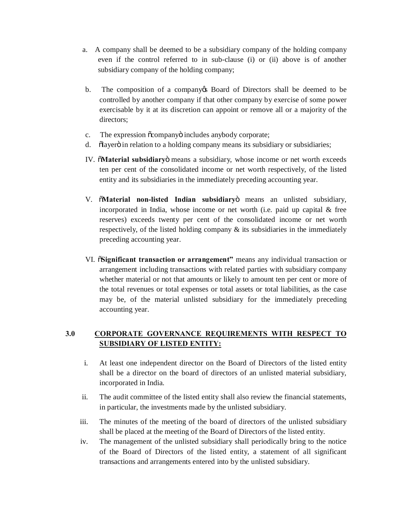- a. A company shall be deemed to be a subsidiary company of the holding company even if the control referred to in sub-clause (i) or (ii) above is of another subsidiary company of the holding company;
- b. The composition of a company of Board of Directors shall be deemed to be controlled by another company if that other company by exercise of some power exercisable by it at its discretion can appoint or remove all or a majority of the directors;
- c. The expression  $\tilde{o}$ company $\ddot{o}$  includes anybody corporate;
- d. "Slayer" on relation to a holding company means its subsidiary or subsidiaries;
- IV. "**Material subsidiary**" means a subsidiary, whose income or net worth exceeds ten per cent of the consolidated income or net worth respectively, of the listed entity and its subsidiaries in the immediately preceding accounting year.
- V.  $\delta$ **Material non-listed Indian subsidiary**, means an unlisted subsidiary, incorporated in India, whose income or net worth (i.e. paid up capital & free reserves) exceeds twenty per cent of the consolidated income or net worth respectively, of the listed holding company  $\&$  its subsidiaries in the immediately preceding accounting year.
- VI. "**Significant transaction or arrangement"** means any individual transaction or arrangement including transactions with related parties with subsidiary company whether material or not that amounts or likely to amount ten per cent or more of the total revenues or total expenses or total assets or total liabilities, as the case may be, of the material unlisted subsidiary for the immediately preceding accounting year.

### **3.0 CORPORATE GOVERNANCE REQUIREMENTS WITH RESPECT TO SUBSIDIARY OF LISTED ENTITY:**

- i. At least one independent director on the Board of Directors of the listed entity shall be a director on the board of directors of an unlisted material subsidiary, incorporated in India.
- ii. The audit committee of the listed entity shall also review the financial statements, in particular, the investments made by the unlisted subsidiary.
- iii. The minutes of the meeting of the board of directors of the unlisted subsidiary shall be placed at the meeting of the Board of Directors of the listed entity.
- iv. The management of the unlisted subsidiary shall periodically bring to the notice of the Board of Directors of the listed entity, a statement of all significant transactions and arrangements entered into by the unlisted subsidiary.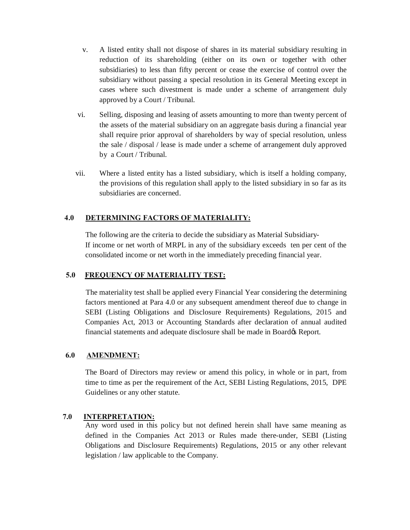- v. A listed entity shall not dispose of shares in its material subsidiary resulting in reduction of its shareholding (either on its own or together with other subsidiaries) to less than fifty percent or cease the exercise of control over the subsidiary without passing a special resolution in its General Meeting except in cases where such divestment is made under a scheme of arrangement duly approved by a Court / Tribunal.
- vi. Selling, disposing and leasing of assets amounting to more than twenty percent of the assets of the material subsidiary on an aggregate basis during a financial year shall require prior approval of shareholders by way of special resolution, unless the sale / disposal / lease is made under a scheme of arrangement duly approved by a Court / Tribunal.
- vii. Where a listed entity has a listed subsidiary, which is itself a holding company, the provisions of this regulation shall apply to the listed subsidiary in so far as its subsidiaries are concerned.

#### **4.0 DETERMINING FACTORS OF MATERIALITY:**

 The following are the criteria to decide the subsidiary as Material Subsidiary- If income or net worth of MRPL in any of the subsidiary exceeds ten per cent of the consolidated income or net worth in the immediately preceding financial year.

#### **5.0 FREQUENCY OF MATERIALITY TEST:**

The materiality test shall be applied every Financial Year considering the determining factors mentioned at Para 4.0 or any subsequent amendment thereof due to change in SEBI (Listing Obligations and Disclosure Requirements) Regulations, 2015 and Companies Act, 2013 or Accounting Standards after declaration of annual audited financial statements and adequate disclosure shall be made in Board & Report.

#### **6.0 AMENDMENT:**

The Board of Directors may review or amend this policy, in whole or in part, from time to time as per the requirement of the Act, SEBI Listing Regulations, 2015, DPE Guidelines or any other statute.

#### **7.0 INTERPRETATION:**

Any word used in this policy but not defined herein shall have same meaning as defined in the Companies Act 2013 or Rules made there-under, SEBI (Listing Obligations and Disclosure Requirements) Regulations, 2015 or any other relevant legislation / law applicable to the Company.